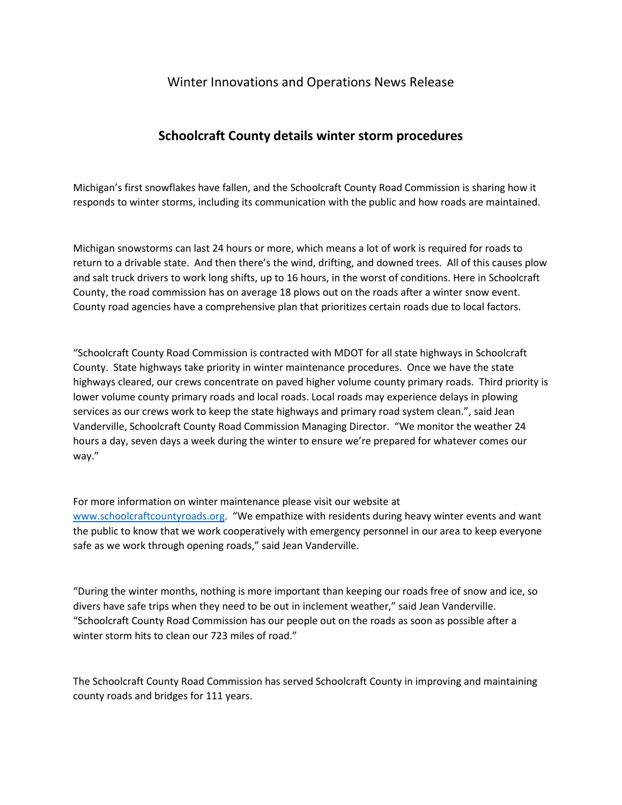## Winter Innovations and Operations News Release

## **Schoolcraft County details winter storm procedures**

Michigan's first snowflakes have fallen, and the Schoolcraft County Road Commission is sharing how it responds to winter storms, including its communication with the public and how roads are maintained.

Michigan snowstorms can last 24 hours or more, which means a lot of work is required for roads to return to a drivable state. And then there's the wind, drifting, and downed trees. All of this causes plow and salt truck drivers to work long shifts, up to 16 hours, in the worst of conditions. Here in Schoolcraft County, the road commission has on average 18 plows out on the roads after a winter snow event. County road agencies have a comprehensive plan that prioritizes certain roads due to local factors.

"Schoolcraft County Road Commission is contracted with MDOT for all state highways in Schoolcraft County. State highways take priority in winter maintenance procedures. Once we have the state highways cleared, our crews concentrate on paved higher volume county primary roads. Third priority is lower volume county primary roads and local roads. Local roads may experience delays in plowing services as our crews work to keep the state highways and primary road system clean.", said Jean Vanderville, Schoolcraft County Road Commission Managing Director. "We monitor the weather 24 hours a day, seven days a week during the winter to ensure we're prepared for whatever comes our way."

For more information on winter maintenance please visit our website at [www.schoolcraftcountyroads.org.](http://www.schoolcraftcountyroads.org/) "We empathize with residents during heavy winter events and want the public to know that we work cooperatively with emergency personnel in our area to keep everyone safe as we work through opening roads," said Jean Vanderville.

"During the winter months, nothing is more important than keeping our roads free of snow and ice, so divers have safe trips when they need to be out in inclement weather," said Jean Vanderville. "Schoolcraft County Road Commission has our people out on the roads as soon as possible after a winter storm hits to clean our 723 miles of road."

The Schoolcraft County Road Commission has served Schoolcraft County in improving and maintaining county roads and bridges for 111 years.